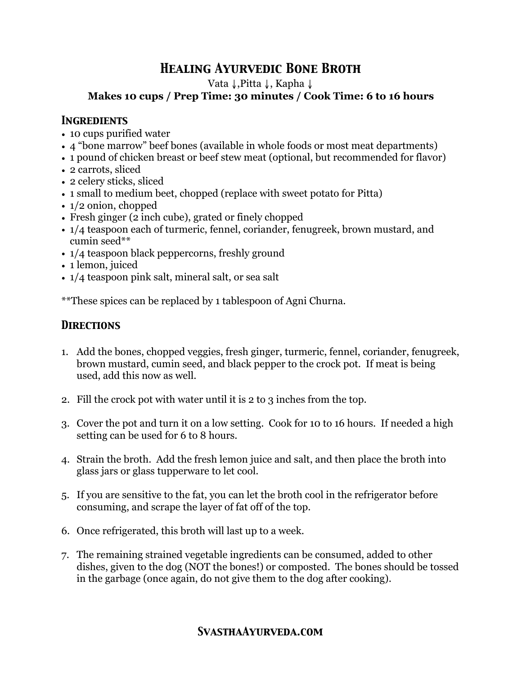# *Healing Ayurvedic Bone Broth*

Vata ↓,Pitta ↓, Kapha ↓

### **Makes 10 cups / Prep Time: 30 minutes / Cook Time: 6 to 16 hours**

#### *Ingredients*

- 10 cups purified water
- 4 "bone marrow" beef bones (available in whole foods or most meat departments)
- 1 pound of chicken breast or beef stew meat (optional, but recommended for flavor)
- 2 carrots, sliced
- 2 celery sticks, sliced
- 1 small to medium beet, chopped (replace with sweet potato for Pitta)
- 1/2 onion, chopped
- Fresh ginger (2 inch cube), grated or finely chopped
- 1/4 teaspoon each of turmeric, fennel, coriander, fenugreek, brown mustard, and cumin seed\*\*
- $1/4$  teaspoon black peppercorns, freshly ground
- 1 lemon, juiced
- 1/4 teaspoon pink salt, mineral salt, or sea salt

\*\*These spices can be replaced by 1 tablespoon of Agni Churna.

# *Directions*

- 1. Add the bones, chopped veggies, fresh ginger, turmeric, fennel, coriander, fenugreek, brown mustard, cumin seed, and black pepper to the crock pot. If meat is being used, add this now as well.
- 2. Fill the crock pot with water until it is 2 to 3 inches from the top.
- 3. Cover the pot and turn it on a low setting. Cook for 10 to 16 hours. If needed a high setting can be used for 6 to 8 hours.
- 4. Strain the broth. Add the fresh lemon juice and salt, and then place the broth into glass jars or glass tupperware to let cool.
- 5. If you are sensitive to the fat, you can let the broth cool in the refrigerator before consuming, and scrape the layer of fat off of the top.
- 6. Once refrigerated, this broth will last up to a week.
- 7. The remaining strained vegetable ingredients can be consumed, added to other dishes, given to the dog (NOT the bones!) or composted. The bones should be tossed in the garbage (once again, do not give them to the dog after cooking).

## *SvasthaAyurveda.com*